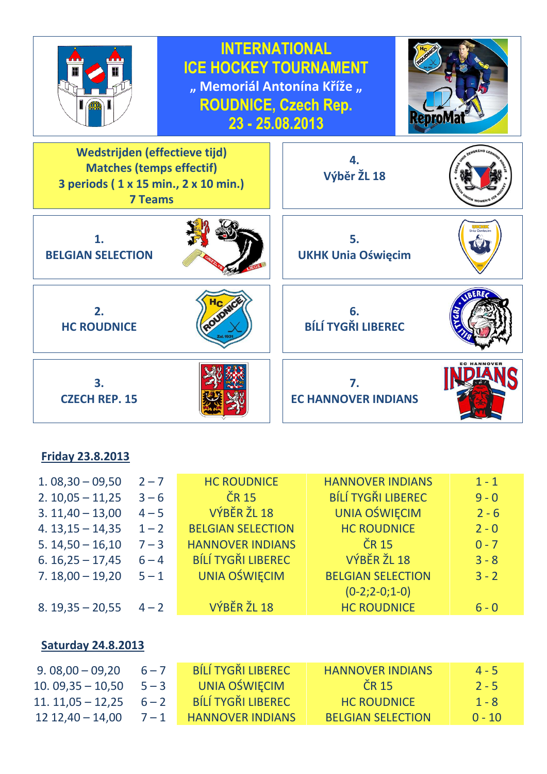

### **Friday 23.8.2013**

| $1.08,30 - 09,50$ | $2 - 7$ | <b>HC ROUDNICE</b>        | <b>HANNOVER INDIANS</b>   | $1 - 1$ |
|-------------------|---------|---------------------------|---------------------------|---------|
| $2.10,05 - 11,25$ | $3 - 6$ | <b>ČR 15</b>              | <b>BÍLÍ TYGŘI LIBEREC</b> | $9 - 0$ |
| $3.11,40 - 13,00$ | $4 - 5$ | VÝBĚR ŽL 18               | <b>UNIA OŚWIĘCIM</b>      | $2 - 6$ |
| $4.13,15 - 14,35$ | $1 - 2$ | <b>BELGIAN SELECTION</b>  | <b>HC ROUDNICE</b>        | $2 - 0$ |
| $5.14,50 - 16,10$ | $7 - 3$ | <b>HANNOVER INDIANS</b>   | ČR 15                     | $0 - 7$ |
| $6.16,25 - 17,45$ | $6 - 4$ | <b>BÍLÍ TYGŘI LIBEREC</b> | VÝBĚR ŽL 18               | $3 - 8$ |
| $7.18,00 - 19,20$ | $5 - 1$ | <b>UNIA OŚWIĘCIM</b>      | <b>BELGIAN SELECTION</b>  | $3 - 2$ |
|                   |         |                           | $(0-2; 2-0; 1-0)$         |         |
| $8.19,35 - 20,55$ | $4 - 2$ | VÝBĚR ŽL 18               | <b>HC ROUDNICE</b>        | $6 - 0$ |

#### **Saturday 24.8.2013**

| $9.08,00 - 09,20$           | $6 - 7$ | BÍLÍ TYGŘI LIBEREC      | <b>HANNOVER INDIANS</b>  | $4 - 5$  |
|-----------------------------|---------|-------------------------|--------------------------|----------|
| $10.09,35 - 10,50$ $5 - 3$  |         | UNIA OŚWIĘCIM           | $CR$ 15                  | $7 - 5$  |
| $11.11,05 - 12,25$ $6 - 2$  |         | BÍLÍ TYGŘI LIBEREC      | <b>HC ROUDNICE</b>       | $1 - 8$  |
| $12\,12.40 - 14.00$ $7 - 1$ |         | <b>HANNOVER INDIANS</b> | <b>BELGIAN SELECTION</b> | $0 - 10$ |